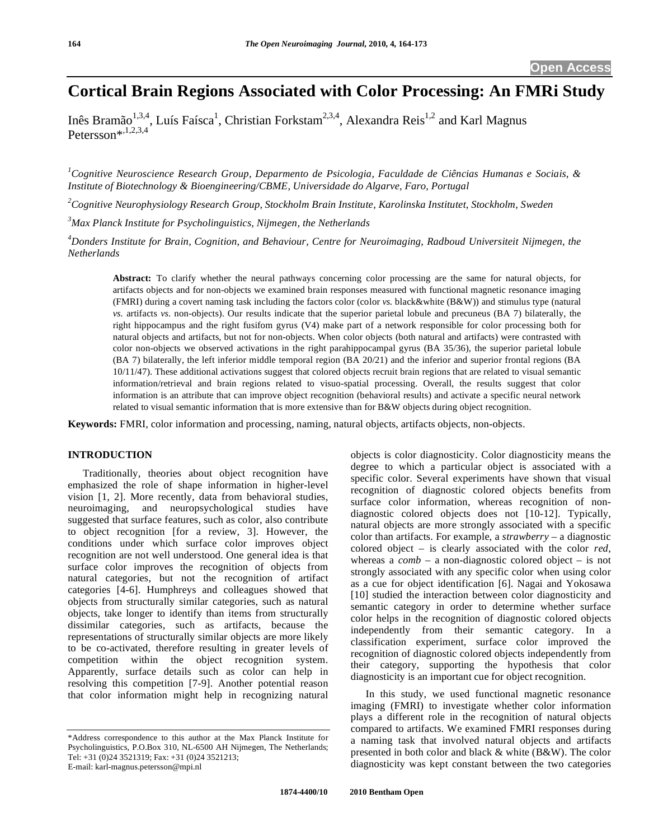# **Cortical Brain Regions Associated with Color Processing: An FMRi Study**

Inês Bramão<sup>1,3,4</sup>, Luís Faísca<sup>1</sup>, Christian Forkstam<sup>2,3,4</sup>, Alexandra Reis<sup>1,2</sup> and Karl Magnus Petersson\*,1,2,3,4

*1 Cognitive Neuroscience Research Group, Deparmento de Psicologia, Faculdade de Ciências Humanas e Sociais, & Institute of Biotechnology & Bioengineering/CBME, Universidade do Algarve, Faro, Portugal* 

*2 Cognitive Neurophysiology Research Group, Stockholm Brain Institute, Karolinska Institutet, Stockholm, Sweden* 

*3 Max Planck Institute for Psycholinguistics, Nijmegen, the Netherlands* 

*4 Donders Institute for Brain, Cognition, and Behaviour, Centre for Neuroimaging, Radboud Universiteit Nijmegen, the Netherlands* 

**Abstract:** To clarify whether the neural pathways concerning color processing are the same for natural objects, for artifacts objects and for non-objects we examined brain responses measured with functional magnetic resonance imaging (FMRI) during a covert naming task including the factors color (color *vs.* black&white (B&W)) and stimulus type (natural *vs.* artifacts *vs.* non-objects). Our results indicate that the superior parietal lobule and precuneus (BA 7) bilaterally, the right hippocampus and the right fusifom gyrus (V4) make part of a network responsible for color processing both for natural objects and artifacts, but not for non-objects. When color objects (both natural and artifacts) were contrasted with color non-objects we observed activations in the right parahippocampal gyrus (BA 35/36), the superior parietal lobule (BA 7) bilaterally, the left inferior middle temporal region (BA 20/21) and the inferior and superior frontal regions (BA 10/11/47). These additional activations suggest that colored objects recruit brain regions that are related to visual semantic information/retrieval and brain regions related to visuo-spatial processing. Overall, the results suggest that color information is an attribute that can improve object recognition (behavioral results) and activate a specific neural network related to visual semantic information that is more extensive than for B&W objects during object recognition.

**Keywords:** FMRI, color information and processing, naming, natural objects, artifacts objects, non-objects.

# **INTRODUCTION**

 Traditionally, theories about object recognition have emphasized the role of shape information in higher-level vision [1, 2]. More recently, data from behavioral studies, neuroimaging, and neuropsychological studies have suggested that surface features, such as color, also contribute to object recognition [for a review, 3]. However, the conditions under which surface color improves object recognition are not well understood. One general idea is that surface color improves the recognition of objects from natural categories, but not the recognition of artifact categories [4-6]. Humphreys and colleagues showed that objects from structurally similar categories, such as natural objects, take longer to identify than items from structurally dissimilar categories, such as artifacts, because the representations of structurally similar objects are more likely to be co-activated, therefore resulting in greater levels of competition within the object recognition system. Apparently, surface details such as color can help in resolving this competition [7-9]. Another potential reason that color information might help in recognizing natural

objects is color diagnosticity. Color diagnosticity means the degree to which a particular object is associated with a specific color. Several experiments have shown that visual recognition of diagnostic colored objects benefits from surface color information, whereas recognition of nondiagnostic colored objects does not [10-12]. Typically, natural objects are more strongly associated with a specific color than artifacts. For example, a *strawberry* – a diagnostic colored object – is clearly associated with the color *red*, whereas a  $comb - a$  non-diagnostic colored object – is not strongly associated with any specific color when using color as a cue for object identification [6]. Nagai and Yokosawa [10] studied the interaction between color diagnosticity and semantic category in order to determine whether surface color helps in the recognition of diagnostic colored objects independently from their semantic category. In a classification experiment, surface color improved the recognition of diagnostic colored objects independently from their category, supporting the hypothesis that color diagnosticity is an important cue for object recognition.

 In this study, we used functional magnetic resonance imaging (FMRI) to investigate whether color information plays a different role in the recognition of natural objects compared to artifacts. We examined FMRI responses during a naming task that involved natural objects and artifacts presented in both color and black & white (B&W). The color diagnosticity was kept constant between the two categories

<sup>\*</sup>Address correspondence to this author at the Max Planck Institute for Psycholinguistics, P.O.Box 310, NL-6500 AH Nijmegen, The Netherlands; Tel: +31 (0)24 3521319; Fax: +31 (0)24 3521213; E-mail: karl-magnus.petersson@mpi.nl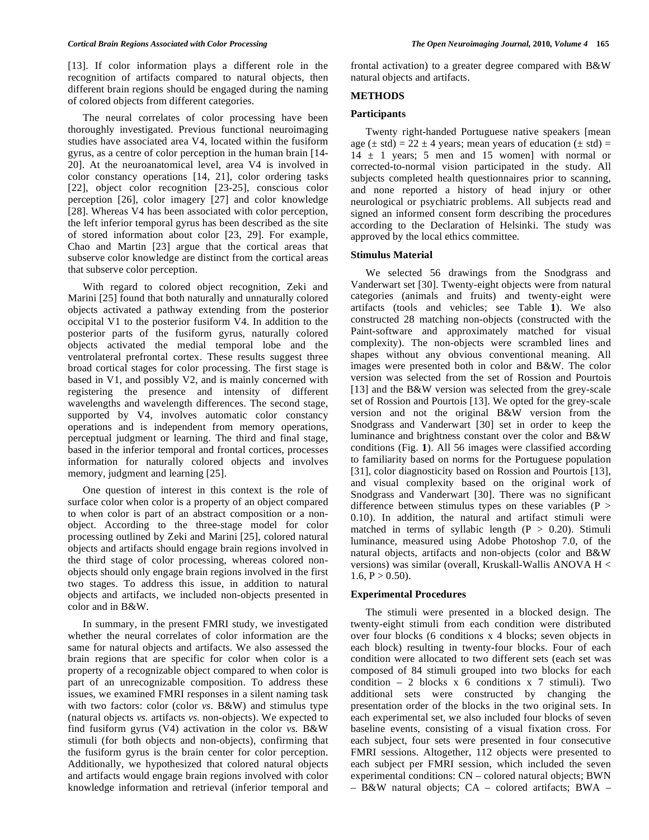[13]. If color information plays a different role in the recognition of artifacts compared to natural objects, then different brain regions should be engaged during the naming of colored objects from different categories.

 The neural correlates of color processing have been thoroughly investigated. Previous functional neuroimaging studies have associated area V4, located within the fusiform gyrus, as a centre of color perception in the human brain [14- 20]. At the neuroanatomical level, area V4 is involved in color constancy operations [14, 21], color ordering tasks [22], object color recognition [23-25], conscious color perception [26], color imagery [27] and color knowledge [28]. Whereas V4 has been associated with color perception, the left inferior temporal gyrus has been described as the site of stored information about color [23, 29]. For example, Chao and Martin [23] argue that the cortical areas that subserve color knowledge are distinct from the cortical areas that subserve color perception.

 With regard to colored object recognition, Zeki and Marini [25] found that both naturally and unnaturally colored objects activated a pathway extending from the posterior occipital V1 to the posterior fusiform V4. In addition to the posterior parts of the fusiform gyrus, naturally colored objects activated the medial temporal lobe and the ventrolateral prefrontal cortex. These results suggest three broad cortical stages for color processing. The first stage is based in V1, and possibly V2, and is mainly concerned with registering the presence and intensity of different wavelengths and wavelength differences. The second stage, supported by V4, involves automatic color constancy operations and is independent from memory operations, perceptual judgment or learning. The third and final stage, based in the inferior temporal and frontal cortices, processes information for naturally colored objects and involves memory, judgment and learning [25].

 One question of interest in this context is the role of surface color when color is a property of an object compared to when color is part of an abstract composition or a nonobject. According to the three-stage model for color processing outlined by Zeki and Marini [25], colored natural objects and artifacts should engage brain regions involved in the third stage of color processing, whereas colored nonobjects should only engage brain regions involved in the first two stages. To address this issue, in addition to natural objects and artifacts, we included non-objects presented in color and in B&W.

 In summary, in the present FMRI study, we investigated whether the neural correlates of color information are the same for natural objects and artifacts. We also assessed the brain regions that are specific for color when color is a property of a recognizable object compared to when color is part of an unrecognizable composition. To address these issues, we examined FMRI responses in a silent naming task with two factors: color (color *vs.* B&W) and stimulus type (natural objects *vs.* artifacts *vs.* non-objects). We expected to find fusiform gyrus (V4) activation in the color *vs.* B&W stimuli (for both objects and non-objects), confirming that the fusiform gyrus is the brain center for color perception. Additionally, we hypothesized that colored natural objects and artifacts would engage brain regions involved with color knowledge information and retrieval (inferior temporal and frontal activation) to a greater degree compared with B&W natural objects and artifacts.

# **METHODS**

#### **Participants**

 Twenty right-handed Portuguese native speakers [mean age ( $\pm$  std) = 22  $\pm$  4 years; mean years of education ( $\pm$  std) =  $14 \pm 1$  years; 5 men and 15 women] with normal or corrected-to-normal vision participated in the study. All subjects completed health questionnaires prior to scanning, and none reported a history of head injury or other neurological or psychiatric problems. All subjects read and signed an informed consent form describing the procedures according to the Declaration of Helsinki. The study was approved by the local ethics committee.

# **Stimulus Material**

 We selected 56 drawings from the Snodgrass and Vanderwart set [30]. Twenty-eight objects were from natural categories (animals and fruits) and twenty-eight were artifacts (tools and vehicles; see Table **1**). We also constructed 28 matching non-objects (constructed with the Paint-software and approximately matched for visual complexity). The non-objects were scrambled lines and shapes without any obvious conventional meaning. All images were presented both in color and B&W. The color version was selected from the set of Rossion and Pourtois [13] and the B&W version was selected from the grey-scale set of Rossion and Pourtois [13]. We opted for the grey-scale version and not the original B&W version from the Snodgrass and Vanderwart [30] set in order to keep the luminance and brightness constant over the color and B&W conditions (Fig. **1**). All 56 images were classified according to familiarity based on norms for the Portuguese population [31], color diagnosticity based on Rossion and Pourtois [13], and visual complexity based on the original work of Snodgrass and Vanderwart [30]. There was no significant difference between stimulus types on these variables  $(P >$ 0.10). In addition, the natural and artifact stimuli were matched in terms of syllabic length  $(P > 0.20)$ . Stimuli luminance, measured using Adobe Photoshop 7.0, of the natural objects, artifacts and non-objects (color and B&W versions) was similar (overall, Kruskall-Wallis ANOVA H <  $1.6, P > 0.50$ .

### **Experimental Procedures**

 The stimuli were presented in a blocked design. The twenty-eight stimuli from each condition were distributed over four blocks (6 conditions x 4 blocks; seven objects in each block) resulting in twenty-four blocks. Four of each condition were allocated to two different sets (each set was composed of 84 stimuli grouped into two blocks for each condition – 2 blocks x 6 conditions x 7 stimuli). Two additional sets were constructed by changing the presentation order of the blocks in the two original sets. In each experimental set, we also included four blocks of seven baseline events, consisting of a visual fixation cross. For each subject, four sets were presented in four consecutive FMRI sessions. Altogether, 112 objects were presented to each subject per FMRI session, which included the seven experimental conditions: CN – colored natural objects; BWN – B&W natural objects; CA – colored artifacts; BWA –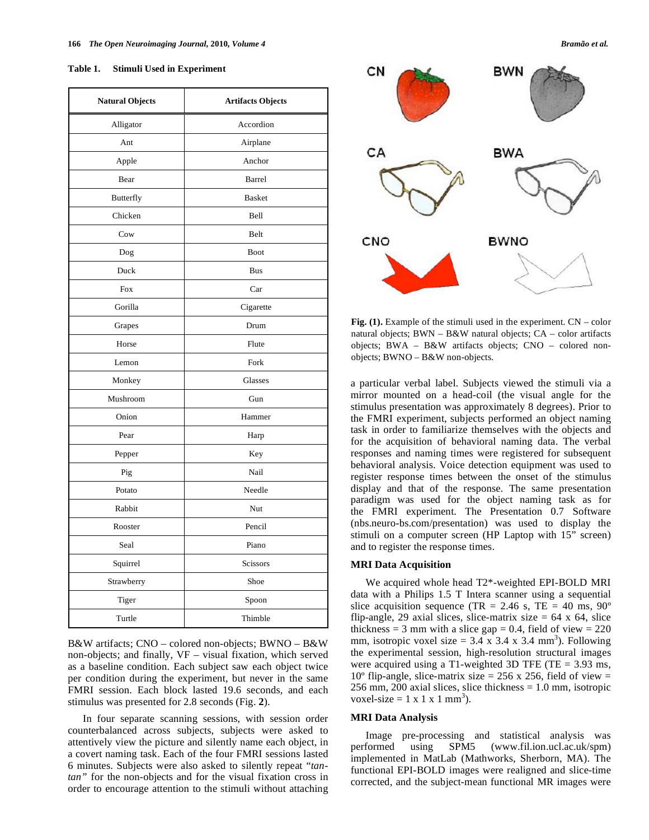| <b>Natural Objects</b> | <b>Artifacts Objects</b> |  |  |
|------------------------|--------------------------|--|--|
| Alligator              | Accordion                |  |  |
| Ant                    | Airplane                 |  |  |
| Apple                  | Anchor                   |  |  |
| Bear                   | <b>Barrel</b>            |  |  |
| <b>Butterfly</b>       | <b>Basket</b>            |  |  |
| Chicken                | Bell                     |  |  |
| Cow                    | Belt                     |  |  |
| Dog                    | <b>Boot</b>              |  |  |
| Duck                   | Bus                      |  |  |
| Fox                    | Car                      |  |  |
| Gorilla                | Cigarette                |  |  |
| Grapes                 | Drum                     |  |  |
| Horse                  | Flute                    |  |  |
| Lemon                  | Fork                     |  |  |
| Monkey                 | Glasses                  |  |  |
| Mushroom               | Gun                      |  |  |
| Onion                  | Hammer                   |  |  |
| Pear                   | Harp                     |  |  |
| Pepper                 | Key                      |  |  |
| Pig                    | Nail                     |  |  |
| Potato                 | Needle                   |  |  |
| Rabbit                 | Nut                      |  |  |
| Rooster                | Pencil                   |  |  |
| Seal                   | Piano                    |  |  |
| Squirrel               | <b>Scissors</b>          |  |  |
| Strawberry             | Shoe                     |  |  |
| Tiger                  | Spoon                    |  |  |
| Turtle                 | Thimble                  |  |  |

B&W artifacts; CNO – colored non-objects; BWNO – B&W non-objects; and finally, VF – visual fixation, which served as a baseline condition. Each subject saw each object twice per condition during the experiment, but never in the same FMRI session. Each block lasted 19.6 seconds, and each stimulus was presented for 2.8 seconds (Fig. **2**).

 In four separate scanning sessions, with session order counterbalanced across subjects, subjects were asked to attentively view the picture and silently name each object, in a covert naming task. Each of the four FMRI sessions lasted 6 minutes. Subjects were also asked to silently repeat "*tantan"* for the non-objects and for the visual fixation cross in order to encourage attention to the stimuli without attaching



**Fig. (1).** Example of the stimuli used in the experiment. CN – color natural objects; BWN – B&W natural objects; CA – color artifacts objects; BWA – B&W artifacts objects; CNO – colored nonobjects; BWNO – B&W non-objects.

a particular verbal label. Subjects viewed the stimuli via a mirror mounted on a head-coil (the visual angle for the stimulus presentation was approximately 8 degrees). Prior to the FMRI experiment, subjects performed an object naming task in order to familiarize themselves with the objects and for the acquisition of behavioral naming data. The verbal responses and naming times were registered for subsequent behavioral analysis. Voice detection equipment was used to register response times between the onset of the stimulus display and that of the response. The same presentation paradigm was used for the object naming task as for the FMRI experiment. The Presentation 0.7 Software (nbs.neuro-bs.com/presentation) was used to display the stimuli on a computer screen (HP Laptop with 15" screen) and to register the response times.

# **MRI Data Acquisition**

 We acquired whole head T2\*-weighted EPI-BOLD MRI data with a Philips 1.5 T Intera scanner using a sequential slice acquisition sequence (TR = 2.46 s, TE = 40 ms,  $90^{\circ}$ ) flip-angle, 29 axial slices, slice-matrix size  $= 64 \times 64$ , slice thickness = 3 mm with a slice gap = 0.4, field of view =  $220$ mm, isotropic voxel size =  $3.4 \times 3.4 \times 3.4 \text{ mm}^3$ ). Following the experimental session, high-resolution structural images were acquired using a T1-weighted 3D TFE (TE = 3.93 ms, 10<sup>o</sup> flip-angle, slice-matrix size = 256 x 256, field of view = 256 mm, 200 axial slices, slice thickness  $= 1.0$  mm, isotropic voxel-size = 1 x 1 x 1 mm<sup>3</sup>).

# **MRI Data Analysis**

 Image pre-processing and statistical analysis was performed using SPM5 (www.fil.ion.ucl.ac.uk/spm) implemented in MatLab (Mathworks, Sherborn, MA). The functional EPI-BOLD images were realigned and slice-time corrected, and the subject-mean functional MR images were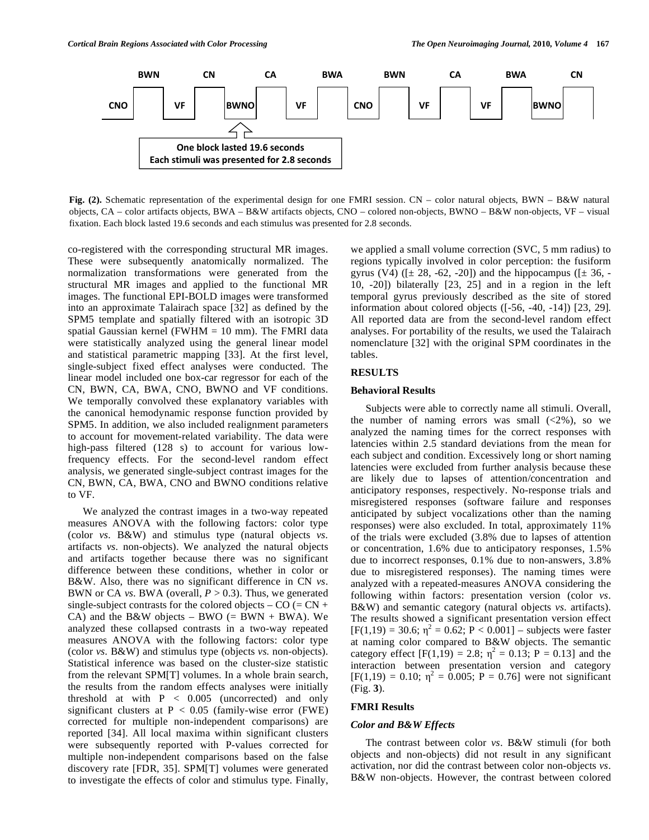

**Fig. (2).** Schematic representation of the experimental design for one FMRI session. CN – color natural objects, BWN – B&W natural objects, CA – color artifacts objects, BWA – B&W artifacts objects, CNO – colored non-objects, BWNO – B&W non-objects, VF – visual fixation. Each block lasted 19.6 seconds and each stimulus was presented for 2.8 seconds.

co-registered with the corresponding structural MR images. These were subsequently anatomically normalized. The normalization transformations were generated from the structural MR images and applied to the functional MR images. The functional EPI-BOLD images were transformed into an approximate Talairach space [32] as defined by the SPM5 template and spatially filtered with an isotropic 3D spatial Gaussian kernel (FWHM  $= 10$  mm). The FMRI data were statistically analyzed using the general linear model and statistical parametric mapping [33]. At the first level, single-subject fixed effect analyses were conducted. The linear model included one box-car regressor for each of the CN, BWN, CA, BWA, CNO, BWNO and VF conditions. We temporally convolved these explanatory variables with the canonical hemodynamic response function provided by SPM5. In addition, we also included realignment parameters to account for movement-related variability. The data were high-pass filtered (128 s) to account for various lowfrequency effects. For the second-level random effect analysis, we generated single-subject contrast images for the CN, BWN, CA, BWA, CNO and BWNO conditions relative to VF.

 We analyzed the contrast images in a two-way repeated measures ANOVA with the following factors: color type (color *vs.* B&W) and stimulus type (natural objects *vs.* artifacts *vs.* non-objects). We analyzed the natural objects and artifacts together because there was no significant difference between these conditions, whether in color or B&W. Also, there was no significant difference in CN *vs*. BWN or CA *vs*. BWA (overall, *P* > 0.3). Thus, we generated single-subject contrasts for the colored objects –  $CO (= CN +$ CA) and the B&W objects – BWO (= BWN + BWA). We analyzed these collapsed contrasts in a two-way repeated measures ANOVA with the following factors: color type (color *vs.* B&W) and stimulus type (objects *vs.* non-objects). Statistical inference was based on the cluster-size statistic from the relevant SPM[T] volumes. In a whole brain search, the results from the random effects analyses were initially threshold at with  $P < 0.005$  (uncorrected) and only significant clusters at P < 0.05 (family-wise error (FWE) corrected for multiple non-independent comparisons) are reported [34]. All local maxima within significant clusters were subsequently reported with P-values corrected for multiple non-independent comparisons based on the false discovery rate [FDR, 35]. SPM[T] volumes were generated to investigate the effects of color and stimulus type. Finally,

we applied a small volume correction (SVC, 5 mm radius) to regions typically involved in color perception: the fusiform gyrus (V4) ( $[\pm 28, -62, -20]$ ) and the hippocampus ( $[\pm 36, -16]$ 10, -20]) bilaterally [23, 25] and in a region in the left temporal gyrus previously described as the site of stored information about colored objects ([-56, -40, -14]) [23, 29]. All reported data are from the second-level random effect analyses. For portability of the results, we used the Talairach nomenclature [32] with the original SPM coordinates in the tables.

# **RESULTS**

# **Behavioral Results**

 Subjects were able to correctly name all stimuli. Overall, the number of naming errors was small  $(\leq 2\%)$ , so we analyzed the naming times for the correct responses with latencies within 2.5 standard deviations from the mean for each subject and condition. Excessively long or short naming latencies were excluded from further analysis because these are likely due to lapses of attention/concentration and anticipatory responses, respectively. No-response trials and misregistered responses (software failure and responses anticipated by subject vocalizations other than the naming responses) were also excluded. In total, approximately 11% of the trials were excluded (3.8% due to lapses of attention or concentration, 1.6% due to anticipatory responses, 1.5% due to incorrect responses, 0.1% due to non-answers, 3.8% due to misregistered responses). The naming times were analyzed with a repeated-measures ANOVA considering the following within factors: presentation version (color *vs*. B&W) and semantic category (natural objects *vs*. artifacts). The results showed a significant presentation version effect  $[F(1,19) = 30.6; \eta^2 = 0.62; P < 0.001]$  – subjects were faster at naming color compared to B&W objects. The semantic category effect  $[F(1,19) = 2.8; \eta^2 = 0.13; P = 0.13]$  and the interaction between presentation version and category  $[F(1,19) = 0.10; \eta^2 = 0.005; P = 0.76]$  were not significant (Fig. **3**).

# **FMRI Results**

# *Color and B&W Effects*

 The contrast between color *vs*. B&W stimuli (for both objects and non-objects) did not result in any significant activation, nor did the contrast between color non-objects *vs*. B&W non-objects. However, the contrast between colored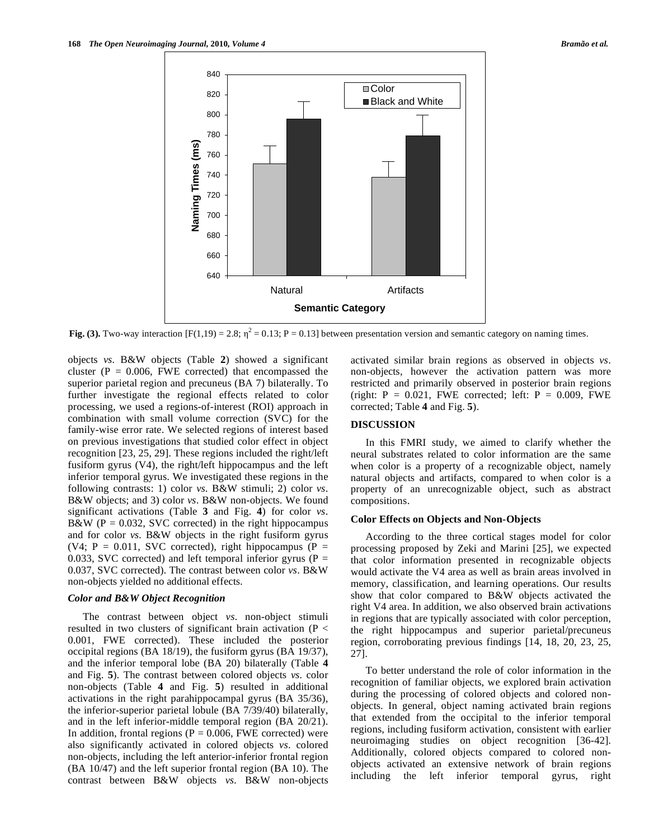

Fig. (3). Two-way interaction  $[F(1,19) = 2.8; \eta^2 = 0.13; P = 0.13]$  between presentation version and semantic category on naming times.

objects *vs*. B&W objects (Table **2**) showed a significant cluster ( $P = 0.006$ , FWE corrected) that encompassed the superior parietal region and precuneus (BA 7) bilaterally. To further investigate the regional effects related to color processing, we used a regions-of-interest (ROI) approach in combination with small volume correction (SVC) for the family-wise error rate. We selected regions of interest based on previous investigations that studied color effect in object recognition [23, 25, 29]. These regions included the right/left fusiform gyrus (V4), the right/left hippocampus and the left inferior temporal gyrus. We investigated these regions in the following contrasts: 1) color *vs*. B&W stimuli; 2) color *vs*. B&W objects; and 3) color *vs*. B&W non-objects. We found significant activations (Table **3** and Fig. **4**) for color *vs*. B&W ( $P = 0.032$ , SVC corrected) in the right hippocampus and for color *vs*. B&W objects in the right fusiform gyrus (V4;  $P = 0.011$ , SVC corrected), right hippocampus (P = 0.033, SVC corrected) and left temporal inferior gyrus ( $P =$ 0.037, SVC corrected). The contrast between color *vs*. B&W non-objects yielded no additional effects.

#### *Color and B&W Object Recognition*

 The contrast between object *vs*. non-object stimuli resulted in two clusters of significant brain activation (P < 0.001, FWE corrected). These included the posterior occipital regions (BA 18/19), the fusiform gyrus (BA 19/37), and the inferior temporal lobe (BA 20) bilaterally (Table **4** and Fig. **5**). The contrast between colored objects *vs*. color non-objects (Table **4** and Fig. **5**) resulted in additional activations in the right parahippocampal gyrus (BA 35/36), the inferior-superior parietal lobule (BA 7/39/40) bilaterally, and in the left inferior-middle temporal region (BA 20/21). In addition, frontal regions ( $P = 0.006$ , FWE corrected) were also significantly activated in colored objects *vs*. colored non-objects, including the left anterior-inferior frontal region (BA 10/47) and the left superior frontal region (BA 10). The contrast between B&W objects *vs*. B&W non-objects activated similar brain regions as observed in objects *vs*. non-objects, however the activation pattern was more restricted and primarily observed in posterior brain regions (right:  $P = 0.021$ , FWE corrected; left:  $P = 0.009$ , FWE corrected; Table **4** and Fig. **5**).

# **DISCUSSION**

 In this FMRI study, we aimed to clarify whether the neural substrates related to color information are the same when color is a property of a recognizable object, namely natural objects and artifacts, compared to when color is a property of an unrecognizable object, such as abstract compositions.

### **Color Effects on Objects and Non-Objects**

 According to the three cortical stages model for color processing proposed by Zeki and Marini [25], we expected that color information presented in recognizable objects would activate the V4 area as well as brain areas involved in memory, classification, and learning operations. Our results show that color compared to B&W objects activated the right V4 area. In addition, we also observed brain activations in regions that are typically associated with color perception, the right hippocampus and superior parietal/precuneus region, corroborating previous findings [14, 18, 20, 23, 25, 27].

 To better understand the role of color information in the recognition of familiar objects, we explored brain activation during the processing of colored objects and colored nonobjects. In general, object naming activated brain regions that extended from the occipital to the inferior temporal regions, including fusiform activation, consistent with earlier neuroimaging studies on object recognition [36-42]. Additionally, colored objects compared to colored nonobjects activated an extensive network of brain regions including the left inferior temporal gyrus, right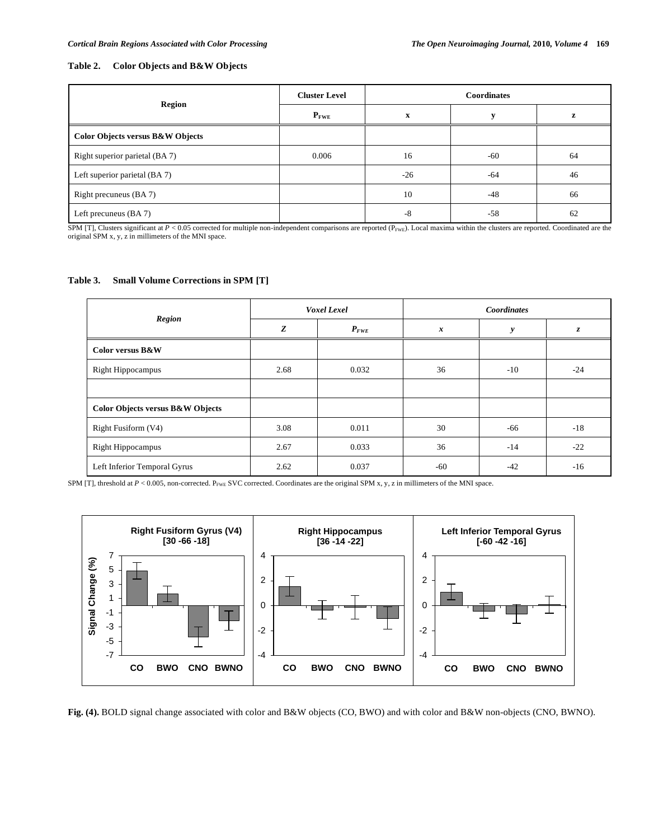## **Table 2. Color Objects and B&W Objects**

| Region                           | <b>Cluster Level</b> | <b>Coordinates</b> |       |    |
|----------------------------------|----------------------|--------------------|-------|----|
|                                  | $P_{\text{FWE}}$     | X                  |       | Z  |
| Color Objects versus B&W Objects |                      |                    |       |    |
| Right superior parietal (BA 7)   | 0.006                | 16                 | $-60$ | 64 |
| Left superior parietal (BA 7)    |                      | $-26$              | -64   | 46 |
| Right precuneus (BA 7)           |                      | 10                 | $-48$ | 66 |
| Left precuneus $(BA 7)$          |                      | $-8$               | $-58$ | 62 |

SPM [T], Clusters significant at  $P < 0.05$  corrected for multiple non-independent comparisons are reported ( $P_{\text{FWE}}$ ). Local maxima within the clusters are reported. Coordinated are the original SPM x, y, z in millimete

#### **Table 3. Small Volume Corrections in SPM [T]**

| <b>Region</b>                               | Voxel Lexel |           | <b>Coordinates</b> |       |       |
|---------------------------------------------|-------------|-----------|--------------------|-------|-------|
|                                             | Z           | $P_{FWE}$ | $\boldsymbol{x}$   | y     | z.    |
| Color versus B&W                            |             |           |                    |       |       |
| <b>Right Hippocampus</b>                    | 2.68        | 0.032     | 36                 | $-10$ | $-24$ |
|                                             |             |           |                    |       |       |
| <b>Color Objects versus B&amp;W Objects</b> |             |           |                    |       |       |
| Right Fusiform (V4)                         | 3.08        | 0.011     | 30                 | -66   | $-18$ |
| <b>Right Hippocampus</b>                    | 2.67        | 0.033     | 36                 | $-14$ | $-22$ |
| Left Inferior Temporal Gyrus                | 2.62        | 0.037     | $-60$              | $-42$ | $-16$ |

SPM [T], threshold at  $P < 0.005$ , non-corrected. P<sub>FWE</sub> SVC corrected. Coordinates are the original SPM x, y, z in millimeters of the MNI space.



**Fig. (4).** BOLD signal change associated with color and B&W objects (CO, BWO) and with color and B&W non-objects (CNO, BWNO).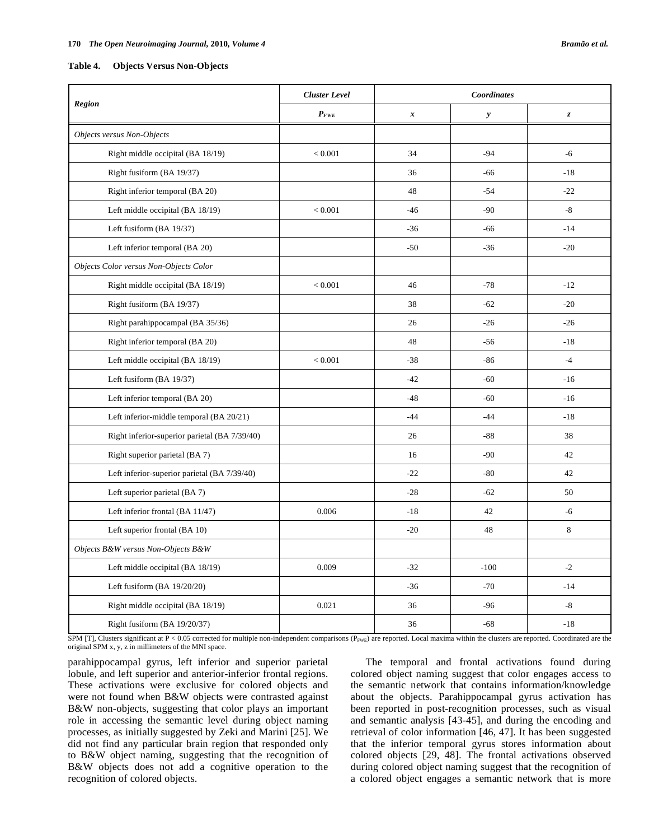**Table 4. Objects Versus Non-Objects** 

| Region                                        | <b>Cluster Level</b> | Coordinates      |              |                  |
|-----------------------------------------------|----------------------|------------------|--------------|------------------|
|                                               | $P_{FWE}$            | $\boldsymbol{x}$ | $\mathbf{y}$ | $\boldsymbol{z}$ |
| Objects versus Non-Objects                    |                      |                  |              |                  |
| Right middle occipital (BA 18/19)             | < 0.001              | 34               | $-94$        | $-6$             |
| Right fusiform (BA 19/37)                     |                      | 36               | -66          | $-18$            |
| Right inferior temporal (BA 20)               |                      | 48               | $-54$        | $-22$            |
| Left middle occipital (BA 18/19)              | < 0.001              | $-46$            | $-90$        | $-8$             |
| Left fusiform (BA 19/37)                      |                      | $-36$            | $-66$        | $-14$            |
| Left inferior temporal (BA 20)                |                      | $-50$            | $-36$        | $-20$            |
| Objects Color versus Non-Objects Color        |                      |                  |              |                  |
| Right middle occipital (BA 18/19)             | < 0.001              | 46               | $-78$        | $-12$            |
| Right fusiform (BA 19/37)                     |                      | 38               | $-62$        | $-20$            |
| Right parahippocampal (BA 35/36)              |                      | 26               | $-26$        | $-26$            |
| Right inferior temporal (BA 20)               |                      | 48               | $-56$        | $-18$            |
| Left middle occipital (BA 18/19)              | < 0.001              | $-38$            | $-86$        | $-4$             |
| Left fusiform (BA 19/37)                      |                      | $-42$            | $-60$        | $-16$            |
| Left inferior temporal (BA 20)                |                      | $-48$            | $-60$        | $-16$            |
| Left inferior-middle temporal (BA 20/21)      |                      | $-44$            | $-44$        | $-18$            |
| Right inferior-superior parietal (BA 7/39/40) |                      | 26               | $-88$        | 38               |
| Right superior parietal (BA 7)                |                      | 16               | $-90$        | 42               |
| Left inferior-superior parietal (BA 7/39/40)  |                      | $-22$            | $-80$        | 42               |
| Left superior parietal (BA 7)                 |                      | $-28$            | $-62$        | 50               |
| Left inferior frontal (BA 11/47)              | 0.006                | $-18$            | 42           | $-6$             |
| Left superior frontal (BA 10)                 |                      | $-20$            | 48           | 8                |
| Objects B&W versus Non-Objects B&W            |                      |                  |              |                  |
| Left middle occipital (BA 18/19)              | 0.009                | $-32$            | $-100$       | $-2$             |
| Left fusiform $(BA 19/20/20)$                 |                      | $-36$            | $-70$        | $-14$            |
| Right middle occipital (BA 18/19)             | 0.021                | 36               | $-96$        | $-8$             |
| Right fusiform (BA 19/20/37)                  |                      | 36               | $-68$        | $-18$            |

SPM [T], Clusters significant at P < 0.05 corrected for multiple non-independent comparisons  $(P_{FWE})$  are reported. Local maxima within the clusters are reported. Coordinated are the original SPM x, y, z in millimeters of the MNI space.

parahippocampal gyrus, left inferior and superior parietal lobule, and left superior and anterior-inferior frontal regions. These activations were exclusive for colored objects and were not found when B&W objects were contrasted against B&W non-objects, suggesting that color plays an important role in accessing the semantic level during object naming processes, as initially suggested by Zeki and Marini [25]. We did not find any particular brain region that responded only to B&W object naming, suggesting that the recognition of B&W objects does not add a cognitive operation to the recognition of colored objects.

 The temporal and frontal activations found during colored object naming suggest that color engages access to the semantic network that contains information/knowledge about the objects. Parahippocampal gyrus activation has been reported in post-recognition processes, such as visual and semantic analysis [43-45], and during the encoding and retrieval of color information [46, 47]. It has been suggested that the inferior temporal gyrus stores information about colored objects [29, 48]. The frontal activations observed during colored object naming suggest that the recognition of a colored object engages a semantic network that is more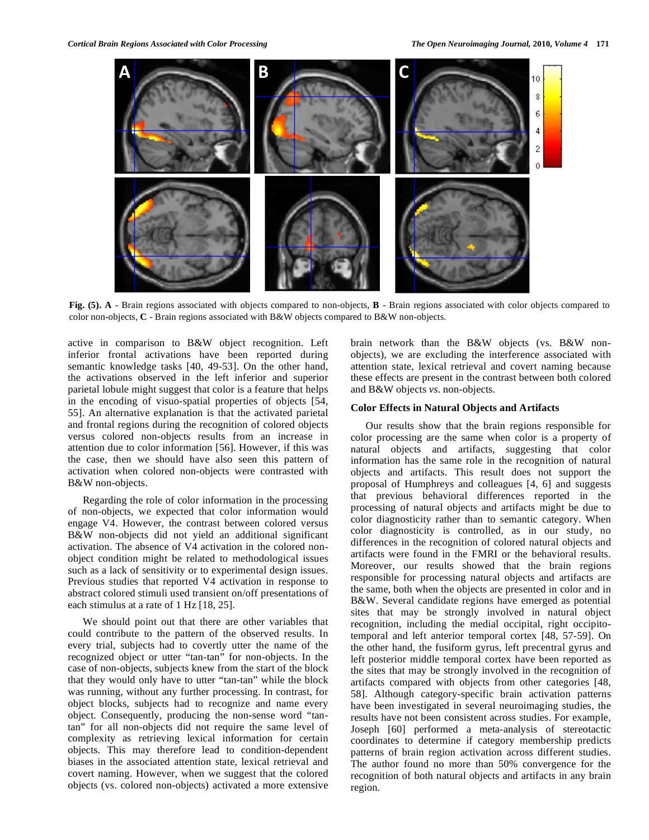

**Fig. (5). A** - Brain regions associated with objects compared to non-objects, **B** - Brain regions associated with color objects compared to color non-objects, **C** - Brain regions associated with B&W objects compared to B&W non-objects.

active in comparison to B&W object recognition. Left inferior frontal activations have been reported during semantic knowledge tasks [40, 49-53]. On the other hand, the activations observed in the left inferior and superior parietal lobule might suggest that color is a feature that helps in the encoding of visuo-spatial properties of objects [54, 55]. An alternative explanation is that the activated parietal and frontal regions during the recognition of colored objects versus colored non-objects results from an increase in attention due to color information [56]. However, if this was the case, then we should have also seen this pattern of activation when colored non-objects were contrasted with B&W non-objects.

 Regarding the role of color information in the processing of non-objects, we expected that color information would engage V4. However, the contrast between colored versus B&W non-objects did not yield an additional significant activation. The absence of V4 activation in the colored nonobject condition might be related to methodological issues such as a lack of sensitivity or to experimental design issues. Previous studies that reported V4 activation in response to abstract colored stimuli used transient on/off presentations of each stimulus at a rate of 1 Hz [18, 25].

 We should point out that there are other variables that could contribute to the pattern of the observed results. In every trial, subjects had to covertly utter the name of the recognized object or utter "tan-tan" for non-objects. In the case of non-objects, subjects knew from the start of the block that they would only have to utter "tan-tan" while the block was running, without any further processing. In contrast, for object blocks, subjects had to recognize and name every object. Consequently, producing the non-sense word "tantan" for all non-objects did not require the same level of complexity as retrieving lexical information for certain objects. This may therefore lead to condition-dependent biases in the associated attention state, lexical retrieval and covert naming. However, when we suggest that the colored objects (vs. colored non-objects) activated a more extensive

brain network than the B&W objects (vs. B&W nonobjects), we are excluding the interference associated with attention state, lexical retrieval and covert naming because these effects are present in the contrast between both colored and B&W objects *vs*. non-objects.

# **Color Effects in Natural Objects and Artifacts**

 Our results show that the brain regions responsible for color processing are the same when color is a property of natural objects and artifacts, suggesting that color information has the same role in the recognition of natural objects and artifacts. This result does not support the proposal of Humphreys and colleagues [4, 6] and suggests that previous behavioral differences reported in the processing of natural objects and artifacts might be due to color diagnosticity rather than to semantic category. When color diagnosticity is controlled, as in our study, no differences in the recognition of colored natural objects and artifacts were found in the FMRI or the behavioral results. Moreover, our results showed that the brain regions responsible for processing natural objects and artifacts are the same, both when the objects are presented in color and in B&W. Several candidate regions have emerged as potential sites that may be strongly involved in natural object recognition, including the medial occipital, right occipitotemporal and left anterior temporal cortex [48, 57-59]. On the other hand, the fusiform gyrus, left precentral gyrus and left posterior middle temporal cortex have been reported as the sites that may be strongly involved in the recognition of artifacts compared with objects from other categories [48, 58]. Although category-specific brain activation patterns have been investigated in several neuroimaging studies, the results have not been consistent across studies. For example, Joseph [60] performed a meta-analysis of stereotactic coordinates to determine if category membership predicts patterns of brain region activation across different studies. The author found no more than 50% convergence for the recognition of both natural objects and artifacts in any brain region.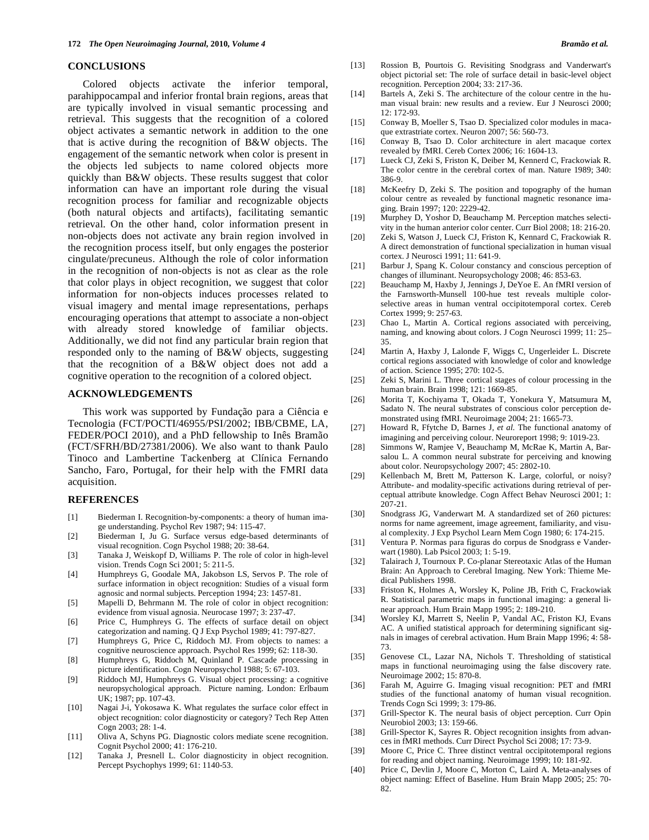#### **CONCLUSIONS**

 Colored objects activate the inferior temporal, parahippocampal and inferior frontal brain regions, areas that are typically involved in visual semantic processing and retrieval. This suggests that the recognition of a colored object activates a semantic network in addition to the one that is active during the recognition of B&W objects. The engagement of the semantic network when color is present in the objects led subjects to name colored objects more quickly than B&W objects. These results suggest that color information can have an important role during the visual recognition process for familiar and recognizable objects (both natural objects and artifacts), facilitating semantic retrieval. On the other hand, color information present in non-objects does not activate any brain region involved in the recognition process itself, but only engages the posterior cingulate/precuneus. Although the role of color information in the recognition of non-objects is not as clear as the role that color plays in object recognition, we suggest that color information for non-objects induces processes related to visual imagery and mental image representations, perhaps encouraging operations that attempt to associate a non-object with already stored knowledge of familiar objects. Additionally, we did not find any particular brain region that responded only to the naming of B&W objects, suggesting that the recognition of a B&W object does not add a cognitive operation to the recognition of a colored object.

### **ACKNOWLEDGEMENTS**

 This work was supported by Fundação para a Ciência e Tecnologia (FCT/POCTI/46955/PSI/2002; IBB/CBME, LA, FEDER/POCI 2010), and a PhD fellowship to Inês Bramão (FCT/SFRH/BD/27381/2006). We also want to thank Paulo Tinoco and Lambertine Tackenberg at Clínica Fernando Sancho, Faro, Portugal, for their help with the FMRI data acquisition.

#### **REFERENCES**

- [1] Biederman I. Recognition-by-components: a theory of human image understanding. Psychol Rev 1987; 94: 115-47.
- [2] Biederman I, Ju G. Surface versus edge-based determinants of visual recognition. Cogn Psychol 1988; 20: 38-64.
- [3] Tanaka J, Weiskopf D, Williams P. The role of color in high-level vision. Trends Cogn Sci 2001; 5: 211-5.
- [4] Humphreys G, Goodale MA, Jakobson LS, Servos P. The role of surface information in object recognition: Studies of a visual form agnosic and normal subjects. Perception 1994; 23: 1457-81.
- [5] Mapelli D, Behrmann M. The role of color in object recognition: evidence from visual agnosia. Neurocase 1997; 3: 237-47.
- [6] Price C, Humphreys G. The effects of surface detail on object categorization and naming. Q J Exp Psychol 1989; 41: 797-827.
- [7] Humphreys G, Price C, Riddoch MJ. From objects to names: a cognitive neuroscience approach. Psychol Res 1999; 62: 118-30.
- [8] Humphreys G, Riddoch M, Quinland P. Cascade processing in picture identification. Cogn Neuropsychol 1988; 5: 67-103.
- [9] Riddoch MJ, Humphreys G. Visual object processing: a cognitive neuropsychological approach. Picture naming. London: Erlbaum UK; 1987; pp. 107-43.
- [10] Nagai J-i, Yokosawa K. What regulates the surface color effect in object recognition: color diagnosticity or category? Tech Rep Atten Cogn 2003; 28: 1-4.
- [11] Oliva A, Schyns PG. Diagnostic colors mediate scene recognition. Cognit Psychol 2000; 41: 176-210.
- [12] Tanaka J, Presnell L. Color diagnosticity in object recognition. Percept Psychophys 1999; 61: 1140-53.
- [13] Rossion B, Pourtois G. Revisiting Snodgrass and Vanderwart's object pictorial set: The role of surface detail in basic-level object recognition. Perception 2004; 33: 217-36.
- [14] Bartels A, Zeki S. The architecture of the colour centre in the human visual brain: new results and a review. Eur J Neurosci 2000; 12: 172-93.
- [15] Conway B, Moeller S, Tsao D. Specialized color modules in macaque extrastriate cortex. Neuron 2007; 56: 560-73.
- [16] Conway B, Tsao D. Color architecture in alert macaque cortex revealed by fMRI. Cereb Cortex 2006; 16: 1604-13.
- [17] Lueck CJ, Zeki S, Friston K, Deiber M, Kennerd C, Frackowiak R. The color centre in the cerebral cortex of man. Nature 1989; 340: 386-9.
- [18] McKeefry D, Zeki S. The position and topography of the human colour centre as revealed by functional magnetic resonance imaging. Brain 1997; 120: 2229-42.
- [19] Murphey D, Yoshor D, Beauchamp M. Perception matches selectivity in the human anterior color center. Curr Biol 2008; 18: 216-20.
- [20] Zeki S, Watson J, Lueck CJ, Friston K, Kennard C, Frackowiak R. A direct demonstration of functional specialization in human visual cortex. J Neurosci 1991; 11: 641-9.
- [21] Barbur J, Spang K. Colour constancy and conscious perception of changes of illuminant. Neuropsychology 2008; 46: 853-63.
- [22] Beauchamp M, Haxby J, Jennings J, DeYoe E. An fMRI version of the Farnsworth-Munsell 100-hue test reveals multiple colorselective areas in human ventral occipitotemporal cortex. Cereb Cortex 1999; 9: 257-63.
- [23] Chao L, Martin A. Cortical regions associated with perceiving, naming, and knowing about colors. J Cogn Neurosci 1999; 11: 25– 35.
- [24] Martin A, Haxby J, Lalonde F, Wiggs C, Ungerleider L. Discrete cortical regions associated with knowledge of color and knowledge of action. Science 1995; 270: 102-5.
- [25] Zeki S, Marini L. Three cortical stages of colour processing in the human brain. Brain 1998; 121: 1669-85.
- [26] Morita T, Kochiyama T, Okada T, Yonekura Y, Matsumura M, Sadato N. The neural substrates of conscious color perception demonstrated using fMRI. Neuroimage 2004; 21: 1665-73.
- [27] Howard R, Ffytche D, Barnes J*, et al.* The functional anatomy of imagining and perceiving colour. Neuroreport 1998; 9: 1019-23.
- [28] Simmons W, Ramjee V, Beauchamp M, McRae K, Martin A, Barsalou L. A common neural substrate for perceiving and knowing about color. Neuropsychology 2007; 45: 2802-10.
- [29] Kellenbach M, Brett M, Patterson K. Large, colorful, or noisy? Attribute- and modality-specific activations during retrieval of perceptual attribute knowledge. Cogn Affect Behav Neurosci 2001; 1: 207-21.
- [30] Snodgrass JG, Vanderwart M. A standardized set of 260 pictures: norms for name agreement, image agreement, familiarity, and visual complexity. J Exp Psychol Learn Mem Cogn 1980; 6: 174-215.
- [31] Ventura P. Normas para figuras do corpus de Snodgrass e Vanderwart (1980). Lab Psicol 2003; 1: 5-19.
- [32] Talairach J, Tournoux P. Co-planar Stereotaxic Atlas of the Human Brain: An Approach to Cerebral Imaging. New York: Thieme Medical Publishers 1998.
- [33] Friston K, Holmes A, Worsley K, Poline JB, Frith C, Frackowiak R. Statistical parametric maps in functional imaging: a general linear approach. Hum Brain Mapp 1995; 2: 189-210.
- [34] Worsley KJ, Marrett S, Neelin P, Vandal AC, Friston KJ, Evans AC. A unified statistical approach for determining significant signals in images of cerebral activation. Hum Brain Mapp 1996; 4: 58- 73.
- [35] Genovese CL, Lazar NA, Nichols T. Thresholding of statistical maps in functional neuroimaging using the false discovery rate. Neuroimage 2002; 15: 870-8.
- [36] Farah M, Aguirre G. Imaging visual recognition: PET and fMRI studies of the functional anatomy of human visual recognition. Trends Cogn Sci 1999; 3: 179-86.
- [37] Grill-Spector K. The neural basis of object perception. Curr Opin Neurobiol 2003; 13: 159-66.
- [38] Grill-Spector K, Sayres R. Object recognition insights from advances in fMRI methods. Curr Direct Psychol Sci 2008; 17: 73-9.
- [39] Moore C, Price C. Three distinct ventral occipitotemporal regions for reading and object naming. Neuroimage 1999; 10: 181-92.
- [40] Price C, Devlin J, Moore C, Morton C, Laird A. Meta-analyses of object naming: Effect of Baseline. Hum Brain Mapp 2005; 25: 70- 82.